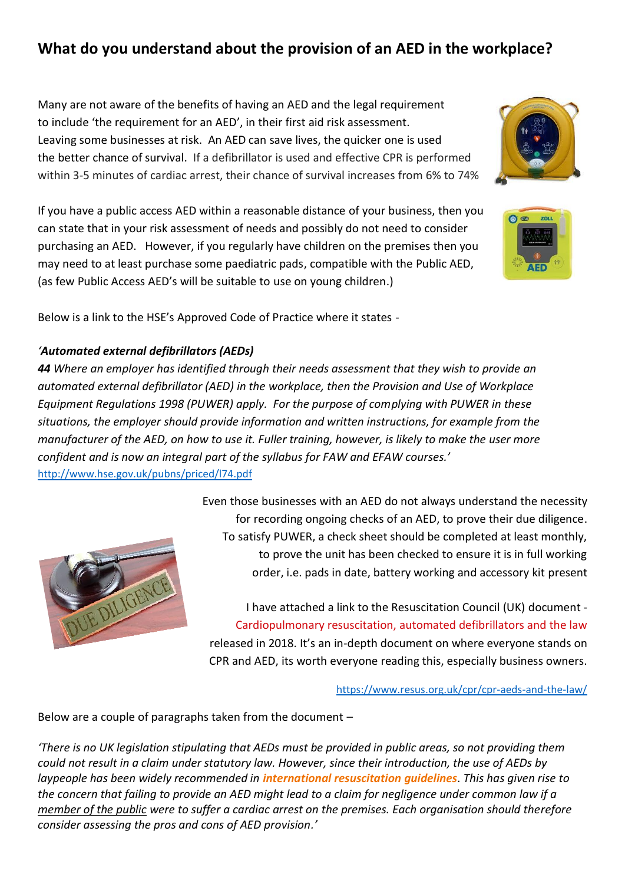# **What do you understand about the provision of an AED in the workplace?**

Many are not aware of the benefits of having an AED and the legal requirement to include 'the requirement for an AED', in their first aid risk assessment. Leaving some businesses at risk. An AED can save lives, the quicker one is used the better chance of survival. If a defibrillator is used and effective CPR is performed within 3-5 minutes of cardiac arrest, their chance of survival increases from 6% to 74%

If you have a public access AED within a reasonable distance of your business, then you can state that in your risk assessment of needs and possibly do not need to consider purchasing an AED. However, if you regularly have children on the premises then you may need to at least purchase some paediatric pads, compatible with the Public AED, (as few Public Access AED's will be suitable to use on young children.)

Below is a link to the HSE's Approved Code of Practice where it states -

### *'Automated external defibrillators (AEDs)*

*44 Where an employer has identified through their needs assessment that they wish to provide an automated external defibrillator (AED) in the workplace, then the Provision and Use of Workplace Equipment Regulations 1998 (PUWER) apply. For the purpose of complying with PUWER in these situations, the employer should provide information and written instructions, for example from the manufacturer of the AED, on how to use it. Fuller training, however, is likely to make the user more confident and is now an integral part of the syllabus for FAW and EFAW courses.'* <http://www.hse.gov.uk/pubns/priced/l74.pdf>



Even those businesses with an AED do not always understand the necessity for recording ongoing checks of an AED, to prove their due diligence. To satisfy PUWER, a check sheet should be completed at least monthly, to prove the unit has been checked to ensure it is in full working order, i.e. pads in date, battery working and accessory kit present

I have attached a link to the Resuscitation Council (UK) document - Cardiopulmonary resuscitation, automated defibrillators and the law released in 2018. It's an in-depth document on where everyone stands on CPR and AED, its worth everyone reading this, especially business owners.

<https://www.resus.org.uk/cpr/cpr-aeds-and-the-law/>

Below are a couple of paragraphs taken from the document –

*'There is no UK legislation stipulating that AEDs must be provided in public areas, so not providing them could not result in a claim under statutory law. However, since their introduction, the use of AEDs by laypeople has been widely recommended in international resuscitation guidelines. This has given rise to the concern that failing to provide an AED might lead to a claim for negligence under common law if a member of the public were to suffer a cardiac arrest on the premises. Each organisation should therefore consider assessing the pros and cons of AED provision.'*



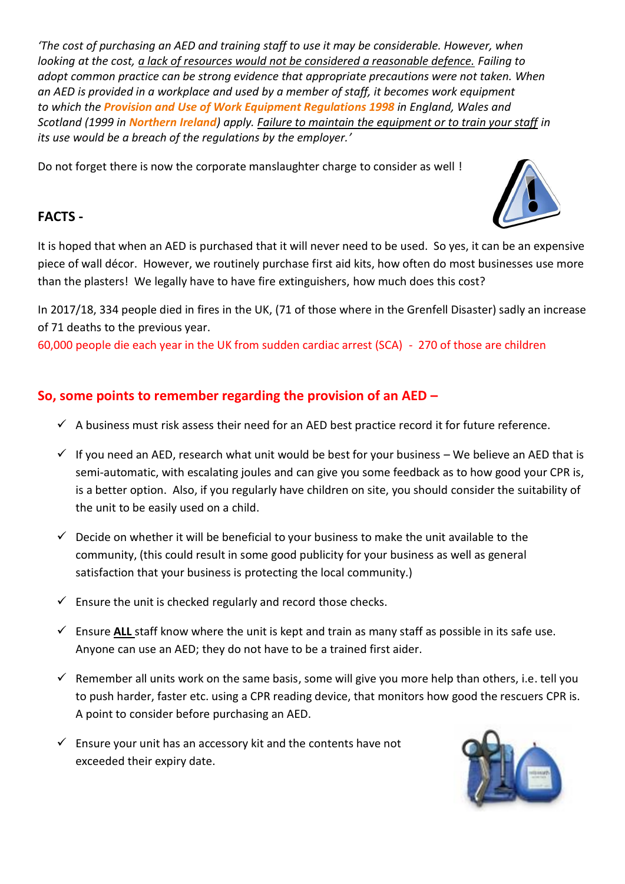*'The cost of purchasing an AED and training staff to use it may be considerable. However, when looking at the cost, a lack of resources would not be considered a reasonable defence. Failing to adopt common practice can be strong evidence that appropriate precautions were not taken. When an AED is provided in a workplace and used by a member of staff, it becomes work equipment to which the Provision and Use of Work Equipment Regulations 1998 in England, Wales and Scotland (1999 in Northern Ireland) apply. Failure to maintain the equipment or to train your staff in its use would be a breach of the regulations by the employer.'*

Do not forget there is now the corporate manslaughter charge to consider as well !

### **FACTS -**



It is hoped that when an AED is purchased that it will never need to be used. So yes, it can be an expensive piece of wall décor. However, we routinely purchase first aid kits, how often do most businesses use more than the plasters! We legally have to have fire extinguishers, how much does this cost?

In 2017/18, 334 people died in fires in the UK, (71 of those where in the Grenfell Disaster) sadly an increase of 71 deaths to the previous year.

60,000 people die each year in the UK from sudden cardiac arrest (SCA) - 270 of those are children

## **So, some points to remember regarding the provision of an AED –**

- $\checkmark$  A business must risk assess their need for an AED best practice record it for future reference.
- $\checkmark$  If you need an AED, research what unit would be best for your business We believe an AED that is semi-automatic, with escalating joules and can give you some feedback as to how good your CPR is, is a better option. Also, if you regularly have children on site, you should consider the suitability of the unit to be easily used on a child.
- $\checkmark$  Decide on whether it will be beneficial to your business to make the unit available to the community, (this could result in some good publicity for your business as well as general satisfaction that your business is protecting the local community.)
- $\checkmark$  Ensure the unit is checked regularly and record those checks.
- ✓ Ensure **ALL** staff know where the unit is kept and train as many staff as possible in its safe use. Anyone can use an AED; they do not have to be a trained first aider.
- $\checkmark$  Remember all units work on the same basis, some will give you more help than others, i.e. tell you to push harder, faster etc. using a CPR reading device, that monitors how good the rescuers CPR is. A point to consider before purchasing an AED.
- $\checkmark$  Ensure your unit has an accessory kit and the contents have not exceeded their expiry date.